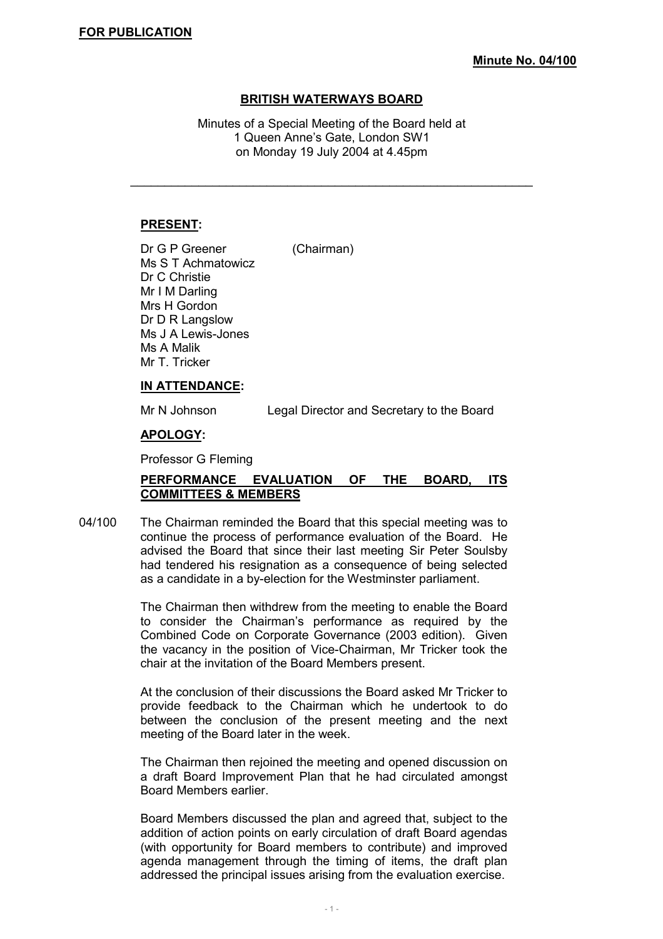## **BRITISH WATERWAYS BOARD**

Minutes of a Special Meeting of the Board held at 1 Queen Anne's Gate, London SW1 on Monday 19 July 2004 at 4.45pm

\_\_\_\_\_\_\_\_\_\_\_\_\_\_\_\_\_\_\_\_\_\_\_\_\_\_\_\_\_\_\_\_\_\_\_\_\_\_\_\_\_\_\_\_\_\_\_\_\_\_\_\_\_\_\_\_\_\_\_

### **PRESENT:**

Dr G P Greener (Chairman) Ms S T Achmatowicz Dr C Christie Mr I M Darling Mrs H Gordon Dr D R Langslow Ms J A Lewis-Jones Ms A Malik Mr T. Tricker

#### **IN ATTENDANCE:**

Mr N Johnson Legal Director and Secretary to the Board

#### **APOLOGY:**

Professor G Fleming

## **PERFORMANCE EVALUATION OF THE BOARD, ITS COMMITTEES & MEMBERS**

04/100 The Chairman reminded the Board that this special meeting was to continue the process of performance evaluation of the Board. He advised the Board that since their last meeting Sir Peter Soulsby had tendered his resignation as a consequence of being selected as a candidate in a by-election for the Westminster parliament.

> The Chairman then withdrew from the meeting to enable the Board to consider the Chairman's performance as required by the Combined Code on Corporate Governance (2003 edition). Given the vacancy in the position of Vice-Chairman, Mr Tricker took the chair at the invitation of the Board Members present.

> At the conclusion of their discussions the Board asked Mr Tricker to provide feedback to the Chairman which he undertook to do between the conclusion of the present meeting and the next meeting of the Board later in the week.

> The Chairman then rejoined the meeting and opened discussion on a draft Board Improvement Plan that he had circulated amongst Board Members earlier.

> Board Members discussed the plan and agreed that, subject to the addition of action points on early circulation of draft Board agendas (with opportunity for Board members to contribute) and improved agenda management through the timing of items, the draft plan addressed the principal issues arising from the evaluation exercise.